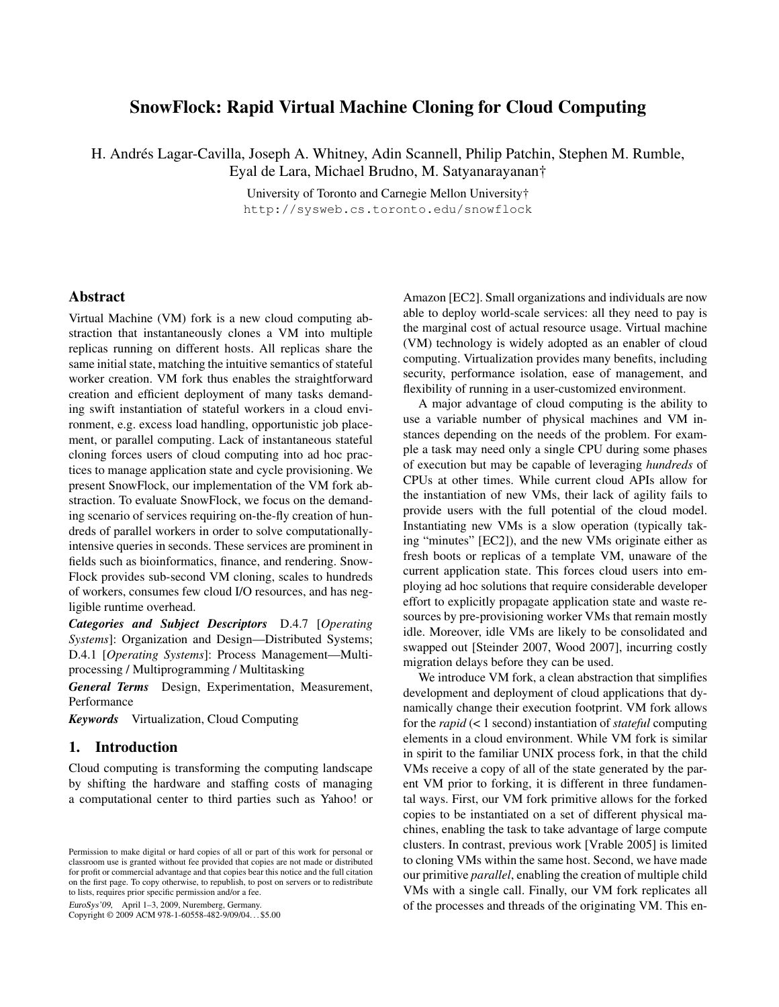# SnowFlock: Rapid Virtual Machine Cloning for Cloud Computing

H. Andrés Lagar-Cavilla, Joseph A. Whitney, Adin Scannell, Philip Patchin, Stephen M. Rumble,

Eyal de Lara, Michael Brudno, M. Satyanarayanan†

University of Toronto and Carnegie Mellon University† <http://sysweb.cs.toronto.edu/snowflock>

# Abstract

Virtual Machine (VM) fork is a new cloud computing abstraction that instantaneously clones a VM into multiple replicas running on different hosts. All replicas share the same initial state, matching the intuitive semantics of stateful worker creation. VM fork thus enables the straightforward creation and efficient deployment of many tasks demanding swift instantiation of stateful workers in a cloud environment, e.g. excess load handling, opportunistic job placement, or parallel computing. Lack of instantaneous stateful cloning forces users of cloud computing into ad hoc practices to manage application state and cycle provisioning. We present SnowFlock, our implementation of the VM fork abstraction. To evaluate SnowFlock, we focus on the demanding scenario of services requiring on-the-fly creation of hundreds of parallel workers in order to solve computationallyintensive queries in seconds. These services are prominent in fields such as bioinformatics, finance, and rendering. Snow-Flock provides sub-second VM cloning, scales to hundreds of workers, consumes few cloud I/O resources, and has negligible runtime overhead.

*Categories and Subject Descriptors* D.4.7 [*Operating Systems*]: Organization and Design—Distributed Systems; D.4.1 [*Operating Systems*]: Process Management—Multiprocessing / Multiprogramming / Multitasking

*General Terms* Design, Experimentation, Measurement, Performance

*Keywords* Virtualization, Cloud Computing

# 1. Introduction

Cloud computing is transforming the computing landscape by shifting the hardware and staffing costs of managing a computational center to third parties such as Yahoo! or

EuroSys'09, April 1–3, 2009, Nuremberg, Germany.

Copyright © 2009 ACM 978-1-60558-482-9/09/04. . . \$5.00

Amazon [\[EC2\]](#page-11-0). Small organizations and individuals are now able to deploy world-scale services: all they need to pay is the marginal cost of actual resource usage. Virtual machine (VM) technology is widely adopted as an enabler of cloud computing. Virtualization provides many benefits, including security, performance isolation, ease of management, and flexibility of running in a user-customized environment.

A major advantage of cloud computing is the ability to use a variable number of physical machines and VM instances depending on the needs of the problem. For example a task may need only a single CPU during some phases of execution but may be capable of leveraging *hundreds* of CPUs at other times. While current cloud APIs allow for the instantiation of new VMs, their lack of agility fails to provide users with the full potential of the cloud model. Instantiating new VMs is a slow operation (typically taking "minutes" [\[EC2\]](#page-11-0)), and the new VMs originate either as fresh boots or replicas of a template VM, unaware of the current application state. This forces cloud users into employing ad hoc solutions that require considerable developer effort to explicitly propagate application state and waste resources by pre-provisioning worker VMs that remain mostly idle. Moreover, idle VMs are likely to be consolidated and swapped out [\[Steinder 2007,](#page-11-1) [Wood 2007\]](#page-11-2), incurring costly migration delays before they can be used.

We introduce VM fork, a clean abstraction that simplifies development and deployment of cloud applications that dynamically change their execution footprint. VM fork allows for the *rapid* (< 1 second) instantiation of *stateful* computing elements in a cloud environment. While VM fork is similar in spirit to the familiar UNIX process fork, in that the child VMs receive a copy of all of the state generated by the parent VM prior to forking, it is different in three fundamental ways. First, our VM fork primitive allows for the forked copies to be instantiated on a set of different physical machines, enabling the task to take advantage of large compute clusters. In contrast, previous work [\[Vrable 2005\]](#page-11-3) is limited to cloning VMs within the same host. Second, we have made our primitive *parallel*, enabling the creation of multiple child VMs with a single call. Finally, our VM fork replicates all of the processes and threads of the originating VM. This en-

Permission to make digital or hard copies of all or part of this work for personal or classroom use is granted without fee provided that copies are not made or distributed for profit or commercial advantage and that copies bear this notice and the full citation on the first page. To copy otherwise, to republish, to post on servers or to redistribute to lists, requires prior specific permission and/or a fee.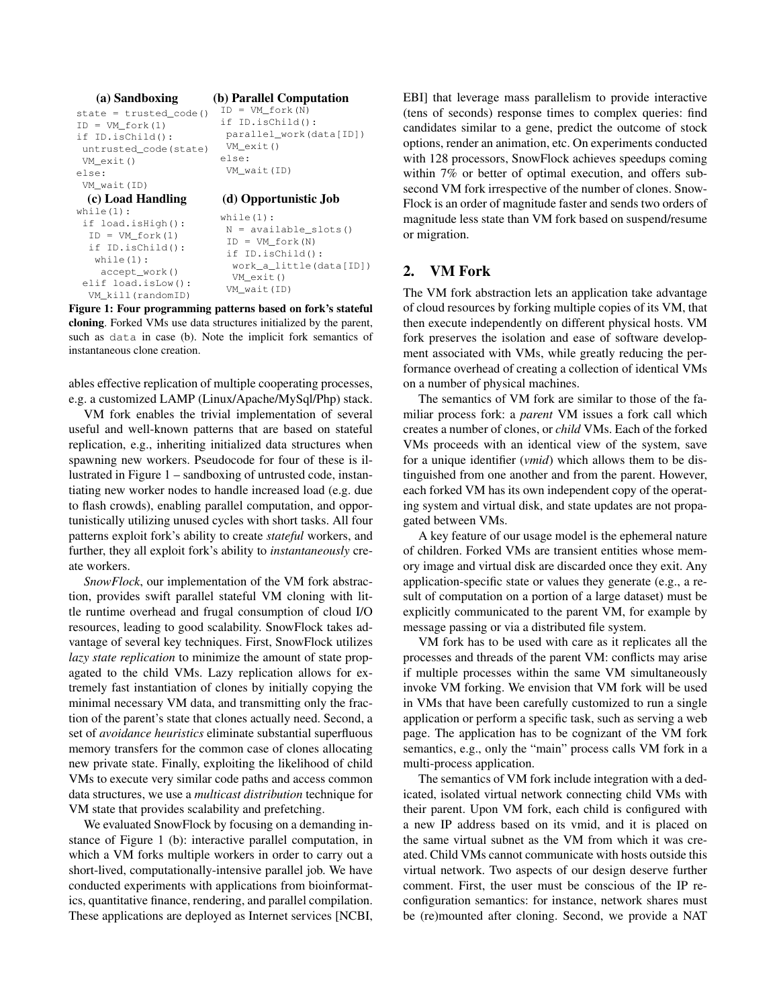```
(a) Sandboxing (b) Parallel Computation
state = trusted_code()
ID = VM fork(1)if ID.isChild():
untrusted_code(state)
 VM_exit()
else:
VM_wait(ID)
                       ID = VM_fork(N)if ID.isChild():
                         parallel_work(data[ID])
                         VM_exit()
                        else:
                         VM_wait(ID)
 (c) Load Handling (d) Opportunistic Job
while(1):
if load.isHigh():
  ID = VM_fork(1)if ID.isChild():
   while(1):
    accept_work()
 elif load.isLow():
  VM_kill(randomID)
                        while(1):
                         N = available_slots()
                         ID = VM_fork(N)if ID.isChild():
                          work_a_little(data[ID])
                          VM_exit()
                         VM_wait(ID)
```
<span id="page-1-0"></span>Figure 1: Four programming patterns based on fork's stateful cloning. Forked VMs use data structures initialized by the parent, such as data in case (b). Note the implicit fork semantics of instantaneous clone creation.

ables effective replication of multiple cooperating processes, e.g. a customized LAMP (Linux/Apache/MySql/Php) stack.

VM fork enables the trivial implementation of several useful and well-known patterns that are based on stateful replication, e.g., inheriting initialized data structures when spawning new workers. Pseudocode for four of these is illustrated in Figure [1](#page-1-0) – sandboxing of untrusted code, instantiating new worker nodes to handle increased load (e.g. due to flash crowds), enabling parallel computation, and opportunistically utilizing unused cycles with short tasks. All four patterns exploit fork's ability to create *stateful* workers, and further, they all exploit fork's ability to *instantaneously* create workers.

*SnowFlock*, our implementation of the VM fork abstraction, provides swift parallel stateful VM cloning with little runtime overhead and frugal consumption of cloud I/O resources, leading to good scalability. SnowFlock takes advantage of several key techniques. First, SnowFlock utilizes *lazy state replication* to minimize the amount of state propagated to the child VMs. Lazy replication allows for extremely fast instantiation of clones by initially copying the minimal necessary VM data, and transmitting only the fraction of the parent's state that clones actually need. Second, a set of *avoidance heuristics* eliminate substantial superfluous memory transfers for the common case of clones allocating new private state. Finally, exploiting the likelihood of child VMs to execute very similar code paths and access common data structures, we use a *multicast distribution* technique for VM state that provides scalability and prefetching.

We evaluated SnowFlock by focusing on a demanding instance of Figure [1](#page-1-0) (b): interactive parallel computation, in which a VM forks multiple workers in order to carry out a short-lived, computationally-intensive parallel job. We have conducted experiments with applications from bioinformatics, quantitative finance, rendering, and parallel compilation. These applications are deployed as Internet services [\[NCBI,](#page-11-4)

[EBI\]](#page-11-5) that leverage mass parallelism to provide interactive (tens of seconds) response times to complex queries: find candidates similar to a gene, predict the outcome of stock options, render an animation, etc. On experiments conducted with 128 processors, SnowFlock achieves speedups coming within 7% or better of optimal execution, and offers subsecond VM fork irrespective of the number of clones. Snow-Flock is an order of magnitude faster and sends two orders of magnitude less state than VM fork based on suspend/resume or migration.

# 2. VM Fork

The VM fork abstraction lets an application take advantage of cloud resources by forking multiple copies of its VM, that then execute independently on different physical hosts. VM fork preserves the isolation and ease of software development associated with VMs, while greatly reducing the performance overhead of creating a collection of identical VMs on a number of physical machines.

The semantics of VM fork are similar to those of the familiar process fork: a *parent* VM issues a fork call which creates a number of clones, or *child* VMs. Each of the forked VMs proceeds with an identical view of the system, save for a unique identifier (*vmid*) which allows them to be distinguished from one another and from the parent. However, each forked VM has its own independent copy of the operating system and virtual disk, and state updates are not propagated between VMs.

A key feature of our usage model is the ephemeral nature of children. Forked VMs are transient entities whose memory image and virtual disk are discarded once they exit. Any application-specific state or values they generate (e.g., a result of computation on a portion of a large dataset) must be explicitly communicated to the parent VM, for example by message passing or via a distributed file system.

VM fork has to be used with care as it replicates all the processes and threads of the parent VM: conflicts may arise if multiple processes within the same VM simultaneously invoke VM forking. We envision that VM fork will be used in VMs that have been carefully customized to run a single application or perform a specific task, such as serving a web page. The application has to be cognizant of the VM fork semantics, e.g., only the "main" process calls VM fork in a multi-process application.

The semantics of VM fork include integration with a dedicated, isolated virtual network connecting child VMs with their parent. Upon VM fork, each child is configured with a new IP address based on its vmid, and it is placed on the same virtual subnet as the VM from which it was created. Child VMs cannot communicate with hosts outside this virtual network. Two aspects of our design deserve further comment. First, the user must be conscious of the IP reconfiguration semantics: for instance, network shares must be (re)mounted after cloning. Second, we provide a NAT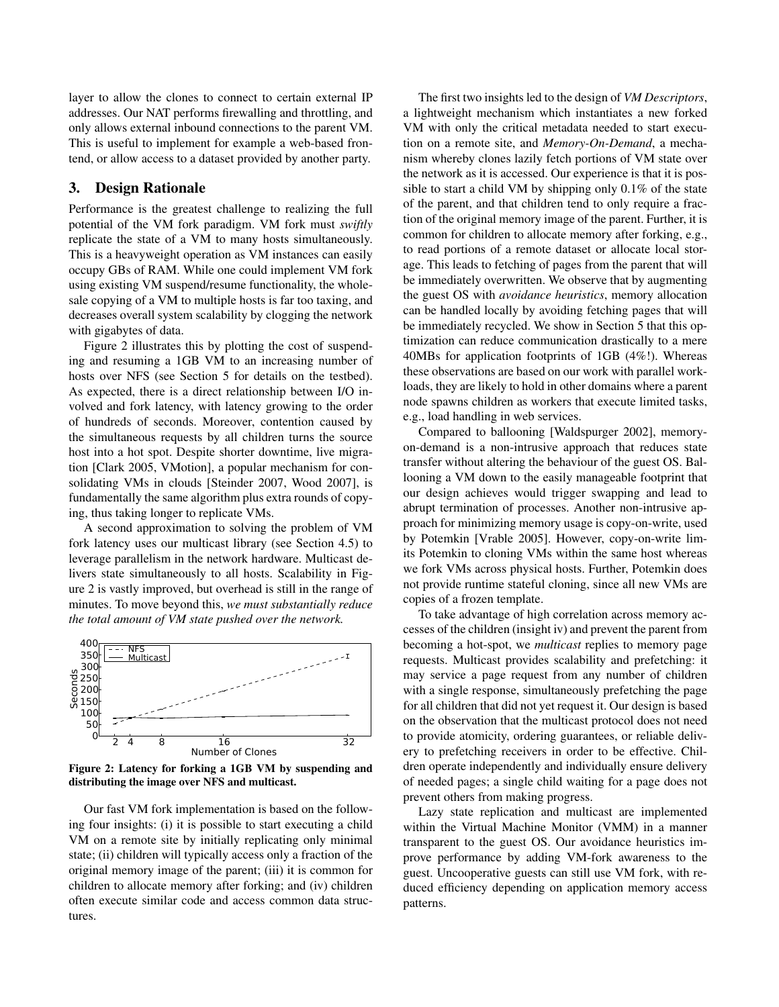layer to allow the clones to connect to certain external IP addresses. Our NAT performs firewalling and throttling, and only allows external inbound connections to the parent VM. This is useful to implement for example a web-based frontend, or allow access to a dataset provided by another party.

# 3. Design Rationale

Performance is the greatest challenge to realizing the full potential of the VM fork paradigm. VM fork must *swiftly* replicate the state of a VM to many hosts simultaneously. This is a heavyweight operation as VM instances can easily occupy GBs of RAM. While one could implement VM fork using existing VM suspend/resume functionality, the wholesale copying of a VM to multiple hosts is far too taxing, and decreases overall system scalability by clogging the network with gigabytes of data.

Figure [2](#page-2-0) illustrates this by plotting the cost of suspending and resuming a 1GB VM to an increasing number of hosts over NFS (see Section [5](#page-7-0) for details on the testbed). As expected, there is a direct relationship between I/O involved and fork latency, with latency growing to the order of hundreds of seconds. Moreover, contention caused by the simultaneous requests by all children turns the source host into a hot spot. Despite shorter downtime, live migration [\[Clark 2005,](#page-11-6) [VMotion\]](#page-11-7), a popular mechanism for consolidating VMs in clouds [\[Steinder 2007,](#page-11-1) [Wood 2007\]](#page-11-2), is fundamentally the same algorithm plus extra rounds of copying, thus taking longer to replicate VMs.

A second approximation to solving the problem of VM fork latency uses our multicast library (see Section [4.5\)](#page-5-0) to leverage parallelism in the network hardware. Multicast delivers state simultaneously to all hosts. Scalability in Figure [2](#page-2-0) is vastly improved, but overhead is still in the range of minutes. To move beyond this, *we must substantially reduce the total amount of VM state pushed over the network.*



<span id="page-2-0"></span>Figure 2: Latency for forking a 1GB VM by suspending and distributing the image over NFS and multicast.

Our fast VM fork implementation is based on the following four insights: (i) it is possible to start executing a child VM on a remote site by initially replicating only minimal state; (ii) children will typically access only a fraction of the original memory image of the parent; (iii) it is common for children to allocate memory after forking; and (iv) children often execute similar code and access common data structures.

The first two insights led to the design of *VM Descriptors*, a lightweight mechanism which instantiates a new forked VM with only the critical metadata needed to start execution on a remote site, and *Memory-On-Demand*, a mechanism whereby clones lazily fetch portions of VM state over the network as it is accessed. Our experience is that it is possible to start a child VM by shipping only 0.1% of the state of the parent, and that children tend to only require a fraction of the original memory image of the parent. Further, it is common for children to allocate memory after forking, e.g., to read portions of a remote dataset or allocate local storage. This leads to fetching of pages from the parent that will be immediately overwritten. We observe that by augmenting the guest OS with *avoidance heuristics*, memory allocation can be handled locally by avoiding fetching pages that will be immediately recycled. We show in Section [5](#page-7-0) that this optimization can reduce communication drastically to a mere 40MBs for application footprints of 1GB (4%!). Whereas these observations are based on our work with parallel workloads, they are likely to hold in other domains where a parent node spawns children as workers that execute limited tasks, e.g., load handling in web services.

Compared to ballooning [\[Waldspurger 2002\]](#page-11-8), memoryon-demand is a non-intrusive approach that reduces state transfer without altering the behaviour of the guest OS. Ballooning a VM down to the easily manageable footprint that our design achieves would trigger swapping and lead to abrupt termination of processes. Another non-intrusive approach for minimizing memory usage is copy-on-write, used by Potemkin [\[Vrable 2005\]](#page-11-3). However, copy-on-write limits Potemkin to cloning VMs within the same host whereas we fork VMs across physical hosts. Further, Potemkin does not provide runtime stateful cloning, since all new VMs are copies of a frozen template.

To take advantage of high correlation across memory accesses of the children (insight iv) and prevent the parent from becoming a hot-spot, we *multicast* replies to memory page requests. Multicast provides scalability and prefetching: it may service a page request from any number of children with a single response, simultaneously prefetching the page for all children that did not yet request it. Our design is based on the observation that the multicast protocol does not need to provide atomicity, ordering guarantees, or reliable delivery to prefetching receivers in order to be effective. Children operate independently and individually ensure delivery of needed pages; a single child waiting for a page does not prevent others from making progress.

Lazy state replication and multicast are implemented within the Virtual Machine Monitor (VMM) in a manner transparent to the guest OS. Our avoidance heuristics improve performance by adding VM-fork awareness to the guest. Uncooperative guests can still use VM fork, with reduced efficiency depending on application memory access patterns.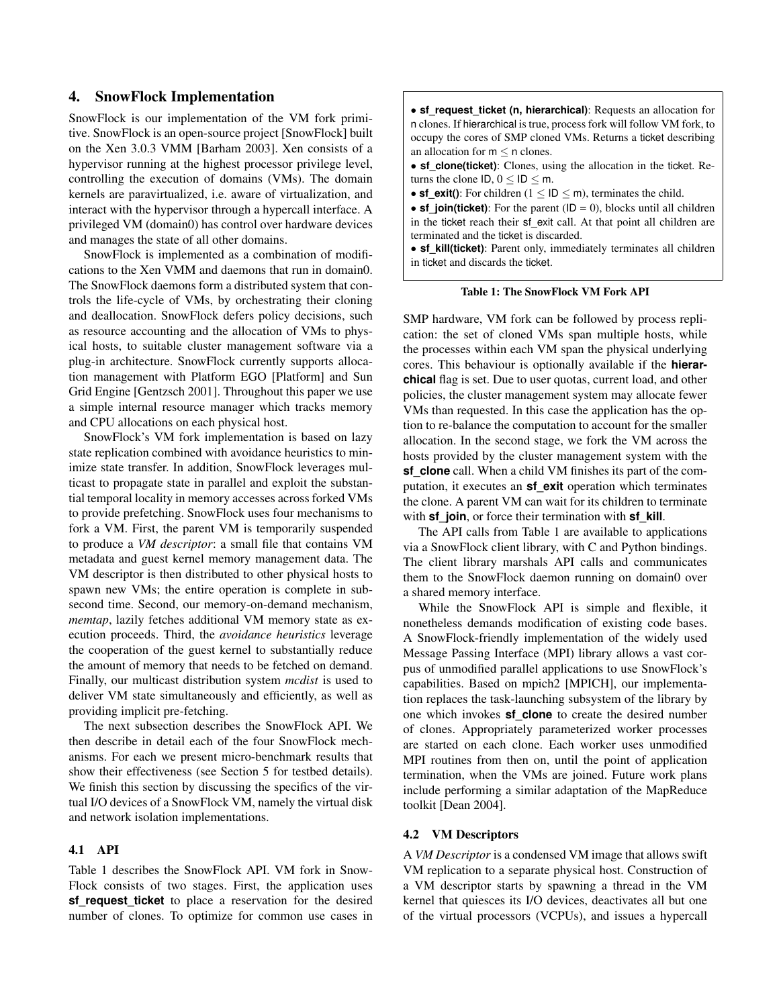# <span id="page-3-1"></span>4. SnowFlock Implementation

SnowFlock is our implementation of the VM fork primitive. SnowFlock is an open-source project [\[SnowFlock\]](#page-11-9) built on the Xen 3.0.3 VMM [\[Barham 2003\]](#page-10-0). Xen consists of a hypervisor running at the highest processor privilege level, controlling the execution of domains (VMs). The domain kernels are paravirtualized, i.e. aware of virtualization, and interact with the hypervisor through a hypercall interface. A privileged VM (domain0) has control over hardware devices and manages the state of all other domains.

SnowFlock is implemented as a combination of modifications to the Xen VMM and daemons that run in domain0. The SnowFlock daemons form a distributed system that controls the life-cycle of VMs, by orchestrating their cloning and deallocation. SnowFlock defers policy decisions, such as resource accounting and the allocation of VMs to physical hosts, to suitable cluster management software via a plug-in architecture. SnowFlock currently supports allocation management with Platform EGO [\[Platform\]](#page-11-10) and Sun Grid Engine [\[Gentzsch 2001\]](#page-11-11). Throughout this paper we use a simple internal resource manager which tracks memory and CPU allocations on each physical host.

SnowFlock's VM fork implementation is based on lazy state replication combined with avoidance heuristics to minimize state transfer. In addition, SnowFlock leverages multicast to propagate state in parallel and exploit the substantial temporal locality in memory accesses across forked VMs to provide prefetching. SnowFlock uses four mechanisms to fork a VM. First, the parent VM is temporarily suspended to produce a *VM descriptor*: a small file that contains VM metadata and guest kernel memory management data. The VM descriptor is then distributed to other physical hosts to spawn new VMs; the entire operation is complete in subsecond time. Second, our memory-on-demand mechanism, *memtap*, lazily fetches additional VM memory state as execution proceeds. Third, the *avoidance heuristics* leverage the cooperation of the guest kernel to substantially reduce the amount of memory that needs to be fetched on demand. Finally, our multicast distribution system *mcdist* is used to deliver VM state simultaneously and efficiently, as well as providing implicit pre-fetching.

The next subsection describes the SnowFlock API. We then describe in detail each of the four SnowFlock mechanisms. For each we present micro-benchmark results that show their effectiveness (see Section [5](#page-7-0) for testbed details). We finish this section by discussing the specifics of the virtual I/O devices of a SnowFlock VM, namely the virtual disk and network isolation implementations.

### 4.1 API

Table [1](#page-3-0) describes the SnowFlock API. VM fork in Snow-Flock consists of two stages. First, the application uses **sf\_request\_ticket** to place a reservation for the desired number of clones. To optimize for common use cases in • **sf\_request\_ticket (n, hierarchical)**: Requests an allocation for n clones. If hierarchical is true, process fork will follow VM fork, to occupy the cores of SMP cloned VMs. Returns a ticket describing an allocation for m ≤ n clones.

• **sf\_clone(ticket)**: Clones, using the allocation in the ticket. Returns the clone ID,  $0 \leq$  ID  $\leq$  m.

• **sf\_exit()**: For children ( $1 \leq \mathsf{ID} \leq \mathsf{m}$ ), terminates the child.

• **sf** join(ticket): For the parent (ID = 0), blocks until all children in the ticket reach their sf\_exit call. At that point all children are terminated and the ticket is discarded.

• **sf** kill(ticket): Parent only, immediately terminates all children in ticket and discards the ticket.

#### <span id="page-3-0"></span>Table 1: The SnowFlock VM Fork API

SMP hardware, VM fork can be followed by process replication: the set of cloned VMs span multiple hosts, while the processes within each VM span the physical underlying cores. This behaviour is optionally available if the **hierarchical** flag is set. Due to user quotas, current load, and other policies, the cluster management system may allocate fewer VMs than requested. In this case the application has the option to re-balance the computation to account for the smaller allocation. In the second stage, we fork the VM across the hosts provided by the cluster management system with the **sf\_clone** call. When a child VM finishes its part of the computation, it executes an **sf\_exit** operation which terminates the clone. A parent VM can wait for its children to terminate with **sf** join, or force their termination with **sf** kill.

The API calls from Table [1](#page-3-0) are available to applications via a SnowFlock client library, with C and Python bindings. The client library marshals API calls and communicates them to the SnowFlock daemon running on domain0 over a shared memory interface.

While the SnowFlock API is simple and flexible, it nonetheless demands modification of existing code bases. A SnowFlock-friendly implementation of the widely used Message Passing Interface (MPI) library allows a vast corpus of unmodified parallel applications to use SnowFlock's capabilities. Based on mpich2 [\[MPICH\]](#page-11-12), our implementation replaces the task-launching subsystem of the library by one which invokes **sf** clone to create the desired number of clones. Appropriately parameterized worker processes are started on each clone. Each worker uses unmodified MPI routines from then on, until the point of application termination, when the VMs are joined. Future work plans include performing a similar adaptation of the MapReduce toolkit [\[Dean 2004\]](#page-11-13).

#### 4.2 VM Descriptors

A *VM Descriptor* is a condensed VM image that allows swift VM replication to a separate physical host. Construction of a VM descriptor starts by spawning a thread in the VM kernel that quiesces its I/O devices, deactivates all but one of the virtual processors (VCPUs), and issues a hypercall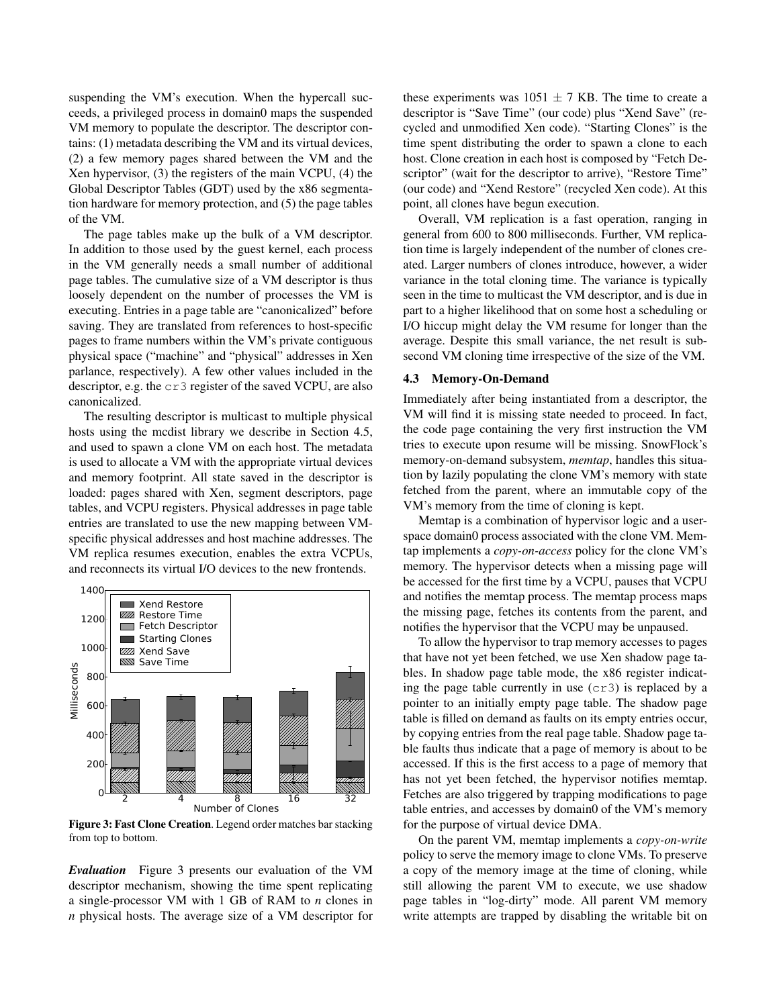suspending the VM's execution. When the hypercall succeeds, a privileged process in domain0 maps the suspended VM memory to populate the descriptor. The descriptor contains: (1) metadata describing the VM and its virtual devices, (2) a few memory pages shared between the VM and the Xen hypervisor, (3) the registers of the main VCPU, (4) the Global Descriptor Tables (GDT) used by the x86 segmentation hardware for memory protection, and (5) the page tables of the VM.

The page tables make up the bulk of a VM descriptor. In addition to those used by the guest kernel, each process in the VM generally needs a small number of additional page tables. The cumulative size of a VM descriptor is thus loosely dependent on the number of processes the VM is executing. Entries in a page table are "canonicalized" before saving. They are translated from references to host-specific pages to frame numbers within the VM's private contiguous physical space ("machine" and "physical" addresses in Xen parlance, respectively). A few other values included in the descriptor, e.g. the cr3 register of the saved VCPU, are also canonicalized.

The resulting descriptor is multicast to multiple physical hosts using the mcdist library we describe in Section [4.5,](#page-5-0) and used to spawn a clone VM on each host. The metadata is used to allocate a VM with the appropriate virtual devices and memory footprint. All state saved in the descriptor is loaded: pages shared with Xen, segment descriptors, page tables, and VCPU registers. Physical addresses in page table entries are translated to use the new mapping between VMspecific physical addresses and host machine addresses. The VM replica resumes execution, enables the extra VCPUs, and reconnects its virtual I/O devices to the new frontends.



<span id="page-4-0"></span>Figure 3: Fast Clone Creation. Legend order matches bar stacking from top to bottom.

*Evaluation* Figure [3](#page-4-0) presents our evaluation of the VM descriptor mechanism, showing the time spent replicating a single-processor VM with 1 GB of RAM to *n* clones in *n* physical hosts. The average size of a VM descriptor for these experiments was  $1051 \pm 7$  KB. The time to create a descriptor is "Save Time" (our code) plus "Xend Save" (recycled and unmodified Xen code). "Starting Clones" is the time spent distributing the order to spawn a clone to each host. Clone creation in each host is composed by "Fetch Descriptor" (wait for the descriptor to arrive), "Restore Time" (our code) and "Xend Restore" (recycled Xen code). At this point, all clones have begun execution.

Overall, VM replication is a fast operation, ranging in general from 600 to 800 milliseconds. Further, VM replication time is largely independent of the number of clones created. Larger numbers of clones introduce, however, a wider variance in the total cloning time. The variance is typically seen in the time to multicast the VM descriptor, and is due in part to a higher likelihood that on some host a scheduling or I/O hiccup might delay the VM resume for longer than the average. Despite this small variance, the net result is subsecond VM cloning time irrespective of the size of the VM.

#### 4.3 Memory-On-Demand

Immediately after being instantiated from a descriptor, the VM will find it is missing state needed to proceed. In fact, the code page containing the very first instruction the VM tries to execute upon resume will be missing. SnowFlock's memory-on-demand subsystem, *memtap*, handles this situation by lazily populating the clone VM's memory with state fetched from the parent, where an immutable copy of the VM's memory from the time of cloning is kept.

Memtap is a combination of hypervisor logic and a userspace domain0 process associated with the clone VM. Memtap implements a *copy-on-access* policy for the clone VM's memory. The hypervisor detects when a missing page will be accessed for the first time by a VCPU, pauses that VCPU and notifies the memtap process. The memtap process maps the missing page, fetches its contents from the parent, and notifies the hypervisor that the VCPU may be unpaused.

To allow the hypervisor to trap memory accesses to pages that have not yet been fetched, we use Xen shadow page tables. In shadow page table mode, the x86 register indicating the page table currently in use  $(cr3)$  is replaced by a pointer to an initially empty page table. The shadow page table is filled on demand as faults on its empty entries occur, by copying entries from the real page table. Shadow page table faults thus indicate that a page of memory is about to be accessed. If this is the first access to a page of memory that has not yet been fetched, the hypervisor notifies memtap. Fetches are also triggered by trapping modifications to page table entries, and accesses by domain0 of the VM's memory for the purpose of virtual device DMA.

On the parent VM, memtap implements a *copy-on-write* policy to serve the memory image to clone VMs. To preserve a copy of the memory image at the time of cloning, while still allowing the parent VM to execute, we use shadow page tables in "log-dirty" mode. All parent VM memory write attempts are trapped by disabling the writable bit on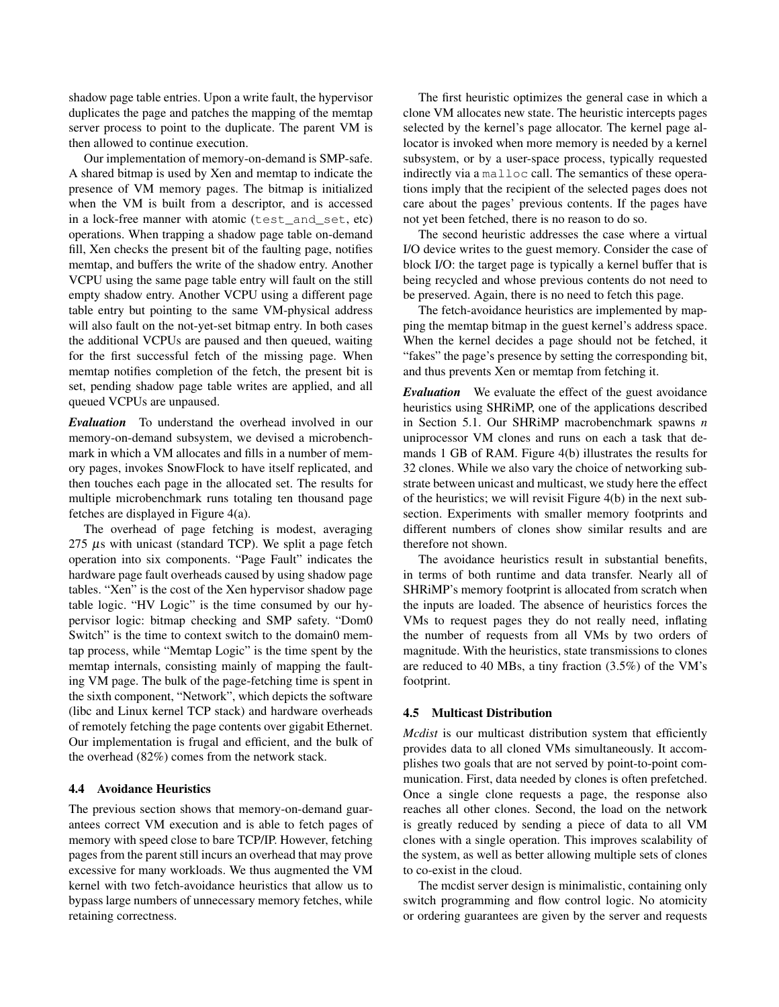shadow page table entries. Upon a write fault, the hypervisor duplicates the page and patches the mapping of the memtap server process to point to the duplicate. The parent VM is then allowed to continue execution.

Our implementation of memory-on-demand is SMP-safe. A shared bitmap is used by Xen and memtap to indicate the presence of VM memory pages. The bitmap is initialized when the VM is built from a descriptor, and is accessed in a lock-free manner with atomic (test\_and\_set, etc) operations. When trapping a shadow page table on-demand fill, Xen checks the present bit of the faulting page, notifies memtap, and buffers the write of the shadow entry. Another VCPU using the same page table entry will fault on the still empty shadow entry. Another VCPU using a different page table entry but pointing to the same VM-physical address will also fault on the not-yet-set bitmap entry. In both cases the additional VCPUs are paused and then queued, waiting for the first successful fetch of the missing page. When memtap notifies completion of the fetch, the present bit is set, pending shadow page table writes are applied, and all queued VCPUs are unpaused.

*Evaluation* To understand the overhead involved in our memory-on-demand subsystem, we devised a microbenchmark in which a VM allocates and fills in a number of memory pages, invokes SnowFlock to have itself replicated, and then touches each page in the allocated set. The results for multiple microbenchmark runs totaling ten thousand page fetches are displayed in Figure [4\(](#page-6-0)a).

The overhead of page fetching is modest, averaging 275  $\mu$ s with unicast (standard TCP). We split a page fetch operation into six components. "Page Fault" indicates the hardware page fault overheads caused by using shadow page tables. "Xen" is the cost of the Xen hypervisor shadow page table logic. "HV Logic" is the time consumed by our hypervisor logic: bitmap checking and SMP safety. "Dom0 Switch" is the time to context switch to the domain0 memtap process, while "Memtap Logic" is the time spent by the memtap internals, consisting mainly of mapping the faulting VM page. The bulk of the page-fetching time is spent in the sixth component, "Network", which depicts the software (libc and Linux kernel TCP stack) and hardware overheads of remotely fetching the page contents over gigabit Ethernet. Our implementation is frugal and efficient, and the bulk of the overhead (82%) comes from the network stack.

# 4.4 Avoidance Heuristics

The previous section shows that memory-on-demand guarantees correct VM execution and is able to fetch pages of memory with speed close to bare TCP/IP. However, fetching pages from the parent still incurs an overhead that may prove excessive for many workloads. We thus augmented the VM kernel with two fetch-avoidance heuristics that allow us to bypass large numbers of unnecessary memory fetches, while retaining correctness.

The first heuristic optimizes the general case in which a clone VM allocates new state. The heuristic intercepts pages selected by the kernel's page allocator. The kernel page allocator is invoked when more memory is needed by a kernel subsystem, or by a user-space process, typically requested indirectly via a malloc call. The semantics of these operations imply that the recipient of the selected pages does not care about the pages' previous contents. If the pages have not yet been fetched, there is no reason to do so.

The second heuristic addresses the case where a virtual I/O device writes to the guest memory. Consider the case of block I/O: the target page is typically a kernel buffer that is being recycled and whose previous contents do not need to be preserved. Again, there is no need to fetch this page.

The fetch-avoidance heuristics are implemented by mapping the memtap bitmap in the guest kernel's address space. When the kernel decides a page should not be fetched, it "fakes" the page's presence by setting the corresponding bit, and thus prevents Xen or memtap from fetching it.

*Evaluation* We evaluate the effect of the guest avoidance heuristics using SHRiMP, one of the applications described in Section [5.1.](#page-7-1) Our SHRiMP macrobenchmark spawns *n* uniprocessor VM clones and runs on each a task that demands 1 GB of RAM. Figure [4\(](#page-6-0)b) illustrates the results for 32 clones. While we also vary the choice of networking substrate between unicast and multicast, we study here the effect of the heuristics; we will revisit Figure [4\(](#page-6-0)b) in the next subsection. Experiments with smaller memory footprints and different numbers of clones show similar results and are therefore not shown.

The avoidance heuristics result in substantial benefits, in terms of both runtime and data transfer. Nearly all of SHRiMP's memory footprint is allocated from scratch when the inputs are loaded. The absence of heuristics forces the VMs to request pages they do not really need, inflating the number of requests from all VMs by two orders of magnitude. With the heuristics, state transmissions to clones are reduced to 40 MBs, a tiny fraction (3.5%) of the VM's footprint.

# <span id="page-5-0"></span>4.5 Multicast Distribution

*Mcdist* is our multicast distribution system that efficiently provides data to all cloned VMs simultaneously. It accomplishes two goals that are not served by point-to-point communication. First, data needed by clones is often prefetched. Once a single clone requests a page, the response also reaches all other clones. Second, the load on the network is greatly reduced by sending a piece of data to all VM clones with a single operation. This improves scalability of the system, as well as better allowing multiple sets of clones to co-exist in the cloud.

The mcdist server design is minimalistic, containing only switch programming and flow control logic. No atomicity or ordering guarantees are given by the server and requests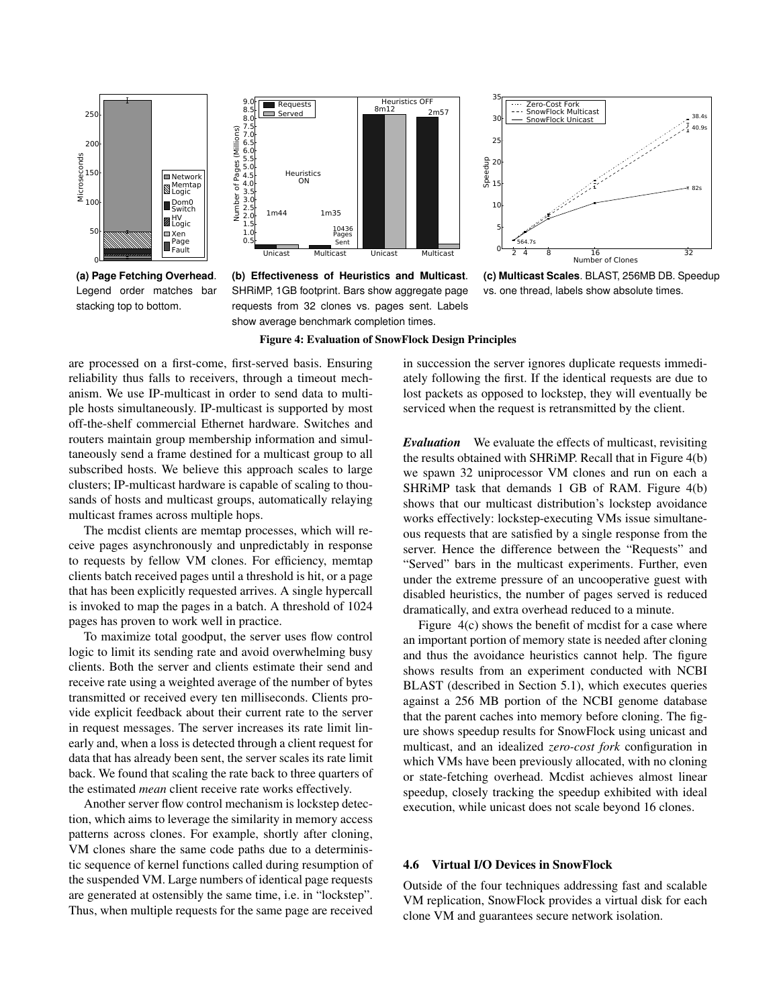

Legend order matches bar stacking top to bottom.



**(b) Effectiveness of Heuristics and Multicast**. SHRiMP, 1GB footprint. Bars show aggregate page requests from 32 clones vs. pages sent. Labels show average benchmark completion times.

<span id="page-6-0"></span>

are processed on a first-come, first-served basis. Ensuring reliability thus falls to receivers, through a timeout mechanism. We use IP-multicast in order to send data to multiple hosts simultaneously. IP-multicast is supported by most off-the-shelf commercial Ethernet hardware. Switches and routers maintain group membership information and simultaneously send a frame destined for a multicast group to all subscribed hosts. We believe this approach scales to large clusters; IP-multicast hardware is capable of scaling to thousands of hosts and multicast groups, automatically relaying multicast frames across multiple hops.

The mcdist clients are memtap processes, which will receive pages asynchronously and unpredictably in response to requests by fellow VM clones. For efficiency, memtap clients batch received pages until a threshold is hit, or a page that has been explicitly requested arrives. A single hypercall is invoked to map the pages in a batch. A threshold of 1024 pages has proven to work well in practice.

To maximize total goodput, the server uses flow control logic to limit its sending rate and avoid overwhelming busy clients. Both the server and clients estimate their send and receive rate using a weighted average of the number of bytes transmitted or received every ten milliseconds. Clients provide explicit feedback about their current rate to the server in request messages. The server increases its rate limit linearly and, when a loss is detected through a client request for data that has already been sent, the server scales its rate limit back. We found that scaling the rate back to three quarters of the estimated *mean* client receive rate works effectively.

Another server flow control mechanism is lockstep detection, which aims to leverage the similarity in memory access patterns across clones. For example, shortly after cloning, VM clones share the same code paths due to a deterministic sequence of kernel functions called during resumption of the suspended VM. Large numbers of identical page requests are generated at ostensibly the same time, i.e. in "lockstep". Thus, when multiple requests for the same page are received



**(c) Multicast Scales**. BLAST, 256MB DB. Speedup vs. one thread, labels show absolute times.

in succession the server ignores duplicate requests immediately following the first. If the identical requests are due to lost packets as opposed to lockstep, they will eventually be serviced when the request is retransmitted by the client.

*Evaluation* We evaluate the effects of multicast, revisiting the results obtained with SHRiMP. Recall that in Figure [4\(](#page-6-0)b) we spawn 32 uniprocessor VM clones and run on each a SHRiMP task that demands 1 GB of RAM. Figure [4\(](#page-6-0)b) shows that our multicast distribution's lockstep avoidance works effectively: lockstep-executing VMs issue simultaneous requests that are satisfied by a single response from the server. Hence the difference between the "Requests" and "Served" bars in the multicast experiments. Further, even under the extreme pressure of an uncooperative guest with disabled heuristics, the number of pages served is reduced dramatically, and extra overhead reduced to a minute.

Figure [4\(](#page-6-0)c) shows the benefit of mcdist for a case where an important portion of memory state is needed after cloning and thus the avoidance heuristics cannot help. The figure shows results from an experiment conducted with NCBI BLAST (described in Section [5.1\)](#page-7-1), which executes queries against a 256 MB portion of the NCBI genome database that the parent caches into memory before cloning. The figure shows speedup results for SnowFlock using unicast and multicast, and an idealized *zero-cost fork* configuration in which VMs have been previously allocated, with no cloning or state-fetching overhead. Mcdist achieves almost linear speedup, closely tracking the speedup exhibited with ideal execution, while unicast does not scale beyond 16 clones.

#### 4.6 Virtual I/O Devices in SnowFlock

Outside of the four techniques addressing fast and scalable VM replication, SnowFlock provides a virtual disk for each clone VM and guarantees secure network isolation.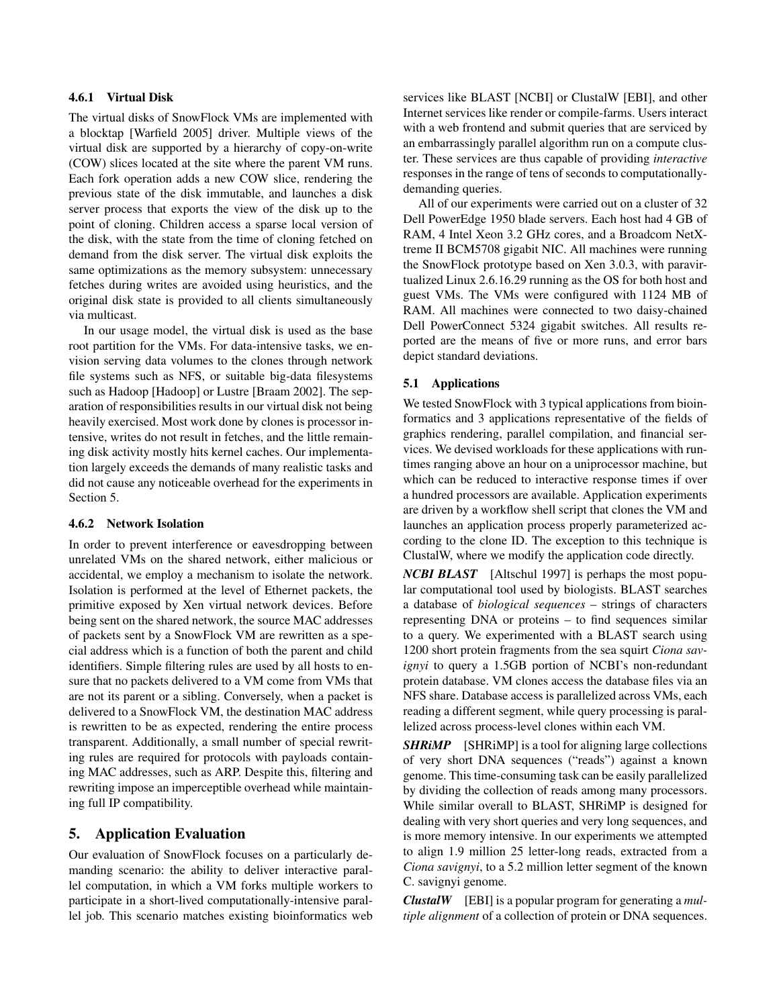# 4.6.1 Virtual Disk

The virtual disks of SnowFlock VMs are implemented with a blocktap [\[Warfield 2005\]](#page-11-14) driver. Multiple views of the virtual disk are supported by a hierarchy of copy-on-write (COW) slices located at the site where the parent VM runs. Each fork operation adds a new COW slice, rendering the previous state of the disk immutable, and launches a disk server process that exports the view of the disk up to the point of cloning. Children access a sparse local version of the disk, with the state from the time of cloning fetched on demand from the disk server. The virtual disk exploits the same optimizations as the memory subsystem: unnecessary fetches during writes are avoided using heuristics, and the original disk state is provided to all clients simultaneously via multicast.

In our usage model, the virtual disk is used as the base root partition for the VMs. For data-intensive tasks, we envision serving data volumes to the clones through network file systems such as NFS, or suitable big-data filesystems such as Hadoop [\[Hadoop\]](#page-11-15) or Lustre [\[Braam 2002\]](#page-11-16). The separation of responsibilities results in our virtual disk not being heavily exercised. Most work done by clones is processor intensive, writes do not result in fetches, and the little remaining disk activity mostly hits kernel caches. Our implementation largely exceeds the demands of many realistic tasks and did not cause any noticeable overhead for the experiments in Section [5.](#page-7-0)

# 4.6.2 Network Isolation

In order to prevent interference or eavesdropping between unrelated VMs on the shared network, either malicious or accidental, we employ a mechanism to isolate the network. Isolation is performed at the level of Ethernet packets, the primitive exposed by Xen virtual network devices. Before being sent on the shared network, the source MAC addresses of packets sent by a SnowFlock VM are rewritten as a special address which is a function of both the parent and child identifiers. Simple filtering rules are used by all hosts to ensure that no packets delivered to a VM come from VMs that are not its parent or a sibling. Conversely, when a packet is delivered to a SnowFlock VM, the destination MAC address is rewritten to be as expected, rendering the entire process transparent. Additionally, a small number of special rewriting rules are required for protocols with payloads containing MAC addresses, such as ARP. Despite this, filtering and rewriting impose an imperceptible overhead while maintaining full IP compatibility.

# <span id="page-7-0"></span>5. Application Evaluation

Our evaluation of SnowFlock focuses on a particularly demanding scenario: the ability to deliver interactive parallel computation, in which a VM forks multiple workers to participate in a short-lived computationally-intensive parallel job. This scenario matches existing bioinformatics web

services like BLAST [\[NCBI\]](#page-11-4) or ClustalW [\[EBI\]](#page-11-5), and other Internet services like render or compile-farms. Users interact with a web frontend and submit queries that are serviced by an embarrassingly parallel algorithm run on a compute cluster. These services are thus capable of providing *interactive* responses in the range of tens of seconds to computationallydemanding queries.

All of our experiments were carried out on a cluster of 32 Dell PowerEdge 1950 blade servers. Each host had 4 GB of RAM, 4 Intel Xeon 3.2 GHz cores, and a Broadcom NetXtreme II BCM5708 gigabit NIC. All machines were running the SnowFlock prototype based on Xen 3.0.3, with paravirtualized Linux 2.6.16.29 running as the OS for both host and guest VMs. The VMs were configured with 1124 MB of RAM. All machines were connected to two daisy-chained Dell PowerConnect 5324 gigabit switches. All results reported are the means of five or more runs, and error bars depict standard deviations.

### <span id="page-7-1"></span>5.1 Applications

We tested SnowFlock with 3 typical applications from bioinformatics and 3 applications representative of the fields of graphics rendering, parallel compilation, and financial services. We devised workloads for these applications with runtimes ranging above an hour on a uniprocessor machine, but which can be reduced to interactive response times if over a hundred processors are available. Application experiments are driven by a workflow shell script that clones the VM and launches an application process properly parameterized according to the clone ID. The exception to this technique is ClustalW, where we modify the application code directly.

*NCBI BLAST* [\[Altschul 1997\]](#page-10-1) is perhaps the most popular computational tool used by biologists. BLAST searches a database of *biological sequences* – strings of characters representing DNA or proteins – to find sequences similar to a query. We experimented with a BLAST search using 1200 short protein fragments from the sea squirt *Ciona savignyi* to query a 1.5GB portion of NCBI's non-redundant protein database. VM clones access the database files via an NFS share. Database access is parallelized across VMs, each reading a different segment, while query processing is parallelized across process-level clones within each VM.

**SHRiMP** [\[SHRiMP\]](#page-11-17) is a tool for aligning large collections of very short DNA sequences ("reads") against a known genome. This time-consuming task can be easily parallelized by dividing the collection of reads among many processors. While similar overall to BLAST, SHRiMP is designed for dealing with very short queries and very long sequences, and is more memory intensive. In our experiments we attempted to align 1.9 million 25 letter-long reads, extracted from a *Ciona savignyi*, to a 5.2 million letter segment of the known C. savignyi genome.

*ClustalW* [\[EBI\]](#page-11-5) is a popular program for generating a *multiple alignment* of a collection of protein or DNA sequences.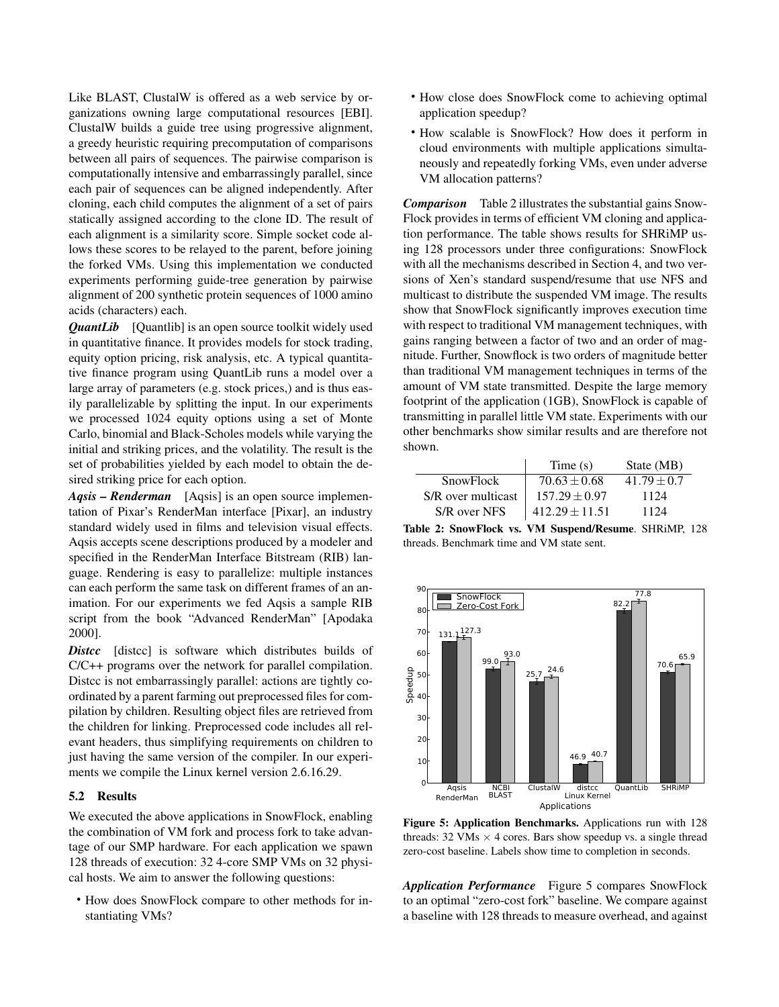Like BLAST, ClustalW is offered as a web service by organizations owning large computational resources [\[EBI\]](#page-11-5). ClustalW builds a guide tree using progressive alignment, a greedy heuristic requiring precomputation of comparisons between all pairs of sequences. The pairwise comparison is computationally intensive and embarrassingly parallel, since each pair of sequences can be aligned independently. After cloning, each child computes the alignment of a set of pairs statically assigned according to the clone ID. The result of each alignment is a similarity score. Simple socket code allows these scores to be relayed to the parent, before joining the forked VMs. Using this implementation we conducted experiments performing guide-tree generation by pairwise alignment of 200 synthetic protein sequences of 1000 amino acids (characters) each.

**QuantLib** [\[Quantlib\]](#page-11-18) is an open source toolkit widely used in quantitative finance. It provides models for stock trading, equity option pricing, risk analysis, etc. A typical quantitative finance program using QuantLib runs a model over a large array of parameters (e.g. stock prices,) and is thus easily parallelizable by splitting the input. In our experiments we processed 1024 equity options using a set of Monte Carlo, binomial and Black-Scholes models while varying the initial and striking prices, and the volatility. The result is the set of probabilities yielded by each model to obtain the desired striking price for each option.

*Aqsis – Renderman* [\[Aqsis\]](#page-10-2) is an open source implementation of Pixar's RenderMan interface [\[Pixar\]](#page-11-19), an industry standard widely used in films and television visual effects. Aqsis accepts scene descriptions produced by a modeler and specified in the RenderMan Interface Bitstream (RIB) language. Rendering is easy to parallelize: multiple instances can each perform the same task on different frames of an animation. For our experiments we fed Aqsis a sample RIB script from the book "Advanced RenderMan" [\[Apodaka](#page-10-3) [2000\]](#page-10-3).

*Distcc* [\[distcc\]](#page-11-20) is software which distributes builds of C/C++ programs over the network for parallel compilation. Distcc is not embarrassingly parallel: actions are tightly coordinated by a parent farming out preprocessed files for compilation by children. Resulting object files are retrieved from the children for linking. Preprocessed code includes all relevant headers, thus simplifying requirements on children to just having the same version of the compiler. In our experiments we compile the Linux kernel version 2.6.16.29.

### 5.2 Results

We executed the above applications in SnowFlock, enabling the combination of VM fork and process fork to take advantage of our SMP hardware. For each application we spawn 128 threads of execution: 32 4-core SMP VMs on 32 physical hosts. We aim to answer the following questions:

• How does SnowFlock compare to other methods for instantiating VMs?

- How close does SnowFlock come to achieving optimal application speedup?
- How scalable is SnowFlock? How does it perform in cloud environments with multiple applications simultaneously and repeatedly forking VMs, even under adverse VM allocation patterns?

*Comparison* Table [2](#page-8-0) illustrates the substantial gains Snow-Flock provides in terms of efficient VM cloning and application performance. The table shows results for SHRiMP using 128 processors under three configurations: SnowFlock with all the mechanisms described in Section [4,](#page-3-1) and two versions of Xen's standard suspend/resume that use NFS and multicast to distribute the suspended VM image. The results show that SnowFlock significantly improves execution time with respect to traditional VM management techniques, with gains ranging between a factor of two and an order of magnitude. Further, Snowflock is two orders of magnitude better than traditional VM management techniques in terms of the amount of VM state transmitted. Despite the large memory footprint of the application (1GB), SnowFlock is capable of transmitting in parallel little VM state. Experiments with our other benchmarks show similar results and are therefore not shown.

|                    | Time $(s)$         | State (MB)      |
|--------------------|--------------------|-----------------|
| <b>SnowFlock</b>   | $70.63 \pm 0.68$   | $41.79 \pm 0.7$ |
| S/R over multicast | $157.29 \pm 0.97$  | 1124            |
| S/R over NFS       | $412.29 \pm 11.51$ | 1124            |

<span id="page-8-0"></span>Table 2: SnowFlock vs. VM Suspend/Resume. SHRiMP, 128 threads. Benchmark time and VM state sent.



<span id="page-8-1"></span>Figure 5: Application Benchmarks. Applications run with 128 threads:  $32 \text{ VMs} \times 4 \text{ cores}$ . Bars show speedup vs. a single thread zero-cost baseline. Labels show time to completion in seconds.

*Application Performance* Figure [5](#page-8-1) compares SnowFlock to an optimal "zero-cost fork" baseline. We compare against a baseline with 128 threads to measure overhead, and against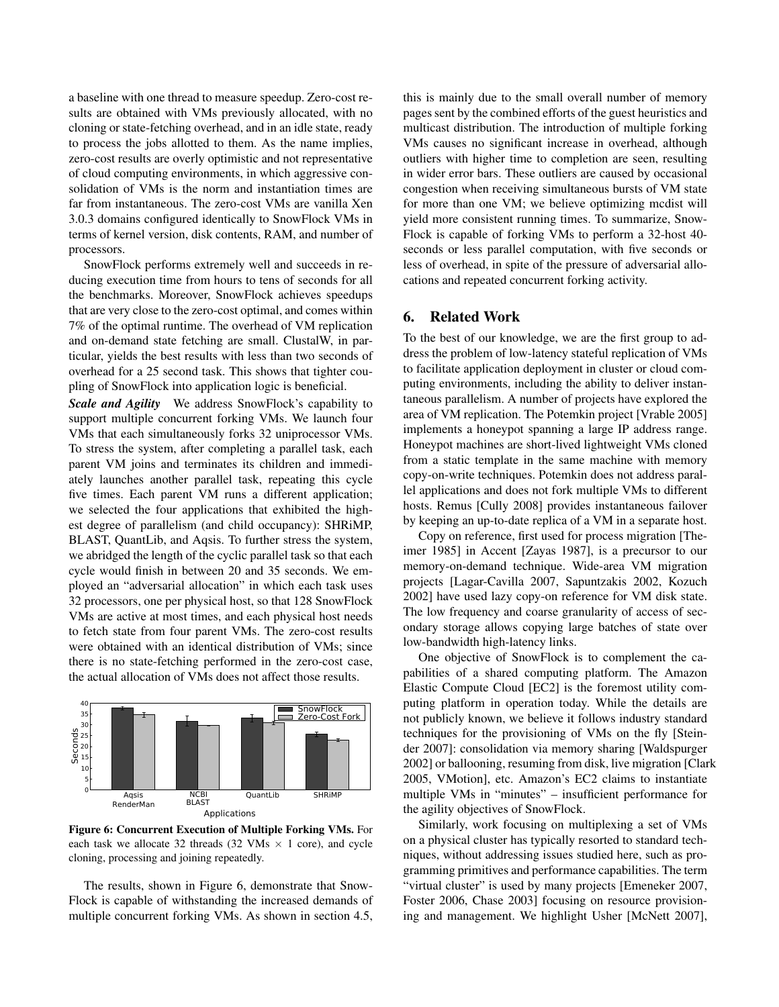a baseline with one thread to measure speedup. Zero-cost results are obtained with VMs previously allocated, with no cloning or state-fetching overhead, and in an idle state, ready to process the jobs allotted to them. As the name implies, zero-cost results are overly optimistic and not representative of cloud computing environments, in which aggressive consolidation of VMs is the norm and instantiation times are far from instantaneous. The zero-cost VMs are vanilla Xen 3.0.3 domains configured identically to SnowFlock VMs in terms of kernel version, disk contents, RAM, and number of processors.

SnowFlock performs extremely well and succeeds in reducing execution time from hours to tens of seconds for all the benchmarks. Moreover, SnowFlock achieves speedups that are very close to the zero-cost optimal, and comes within 7% of the optimal runtime. The overhead of VM replication and on-demand state fetching are small. ClustalW, in particular, yields the best results with less than two seconds of overhead for a 25 second task. This shows that tighter coupling of SnowFlock into application logic is beneficial.

*Scale and Agility* We address SnowFlock's capability to support multiple concurrent forking VMs. We launch four VMs that each simultaneously forks 32 uniprocessor VMs. To stress the system, after completing a parallel task, each parent VM joins and terminates its children and immediately launches another parallel task, repeating this cycle five times. Each parent VM runs a different application; we selected the four applications that exhibited the highest degree of parallelism (and child occupancy): SHRiMP, BLAST, QuantLib, and Aqsis. To further stress the system, we abridged the length of the cyclic parallel task so that each cycle would finish in between 20 and 35 seconds. We employed an "adversarial allocation" in which each task uses 32 processors, one per physical host, so that 128 SnowFlock VMs are active at most times, and each physical host needs to fetch state from four parent VMs. The zero-cost results were obtained with an identical distribution of VMs; since there is no state-fetching performed in the zero-cost case, the actual allocation of VMs does not affect those results.



<span id="page-9-0"></span>Figure 6: Concurrent Execution of Multiple Forking VMs. For each task we allocate 32 threads (32 VMs  $\times$  1 core), and cycle cloning, processing and joining repeatedly.

The results, shown in Figure [6,](#page-9-0) demonstrate that Snow-Flock is capable of withstanding the increased demands of multiple concurrent forking VMs. As shown in section [4.5,](#page-5-0) this is mainly due to the small overall number of memory pages sent by the combined efforts of the guest heuristics and multicast distribution. The introduction of multiple forking VMs causes no significant increase in overhead, although outliers with higher time to completion are seen, resulting in wider error bars. These outliers are caused by occasional congestion when receiving simultaneous bursts of VM state for more than one VM; we believe optimizing mcdist will yield more consistent running times. To summarize, Snow-Flock is capable of forking VMs to perform a 32-host 40 seconds or less parallel computation, with five seconds or less of overhead, in spite of the pressure of adversarial allocations and repeated concurrent forking activity.

### 6. Related Work

To the best of our knowledge, we are the first group to address the problem of low-latency stateful replication of VMs to facilitate application deployment in cluster or cloud computing environments, including the ability to deliver instantaneous parallelism. A number of projects have explored the area of VM replication. The Potemkin project [\[Vrable 2005\]](#page-11-3) implements a honeypot spanning a large IP address range. Honeypot machines are short-lived lightweight VMs cloned from a static template in the same machine with memory copy-on-write techniques. Potemkin does not address parallel applications and does not fork multiple VMs to different hosts. Remus [\[Cully 2008\]](#page-11-21) provides instantaneous failover by keeping an up-to-date replica of a VM in a separate host.

Copy on reference, first used for process migration [\[The](#page-11-22)[imer 1985\]](#page-11-22) in Accent [\[Zayas 1987\]](#page-11-23), is a precursor to our memory-on-demand technique. Wide-area VM migration projects [\[Lagar-Cavilla 2007,](#page-11-24) [Sapuntzakis 2002,](#page-11-25) [Kozuch](#page-11-26) [2002\]](#page-11-26) have used lazy copy-on reference for VM disk state. The low frequency and coarse granularity of access of secondary storage allows copying large batches of state over low-bandwidth high-latency links.

One objective of SnowFlock is to complement the capabilities of a shared computing platform. The Amazon Elastic Compute Cloud [\[EC2\]](#page-11-0) is the foremost utility computing platform in operation today. While the details are not publicly known, we believe it follows industry standard techniques for the provisioning of VMs on the fly [\[Stein](#page-11-1)[der 2007\]](#page-11-1): consolidation via memory sharing [\[Waldspurger](#page-11-8) [2002\]](#page-11-8) or ballooning, resuming from disk, live migration [\[Clark](#page-11-6) [2005,](#page-11-6) [VMotion\]](#page-11-7), etc. Amazon's EC2 claims to instantiate multiple VMs in "minutes" – insufficient performance for the agility objectives of SnowFlock.

Similarly, work focusing on multiplexing a set of VMs on a physical cluster has typically resorted to standard techniques, without addressing issues studied here, such as programming primitives and performance capabilities. The term "virtual cluster" is used by many projects [\[Emeneker 2007,](#page-11-27) [Foster 2006,](#page-11-28) [Chase 2003\]](#page-11-29) focusing on resource provisioning and management. We highlight Usher [\[McNett 2007\]](#page-11-30),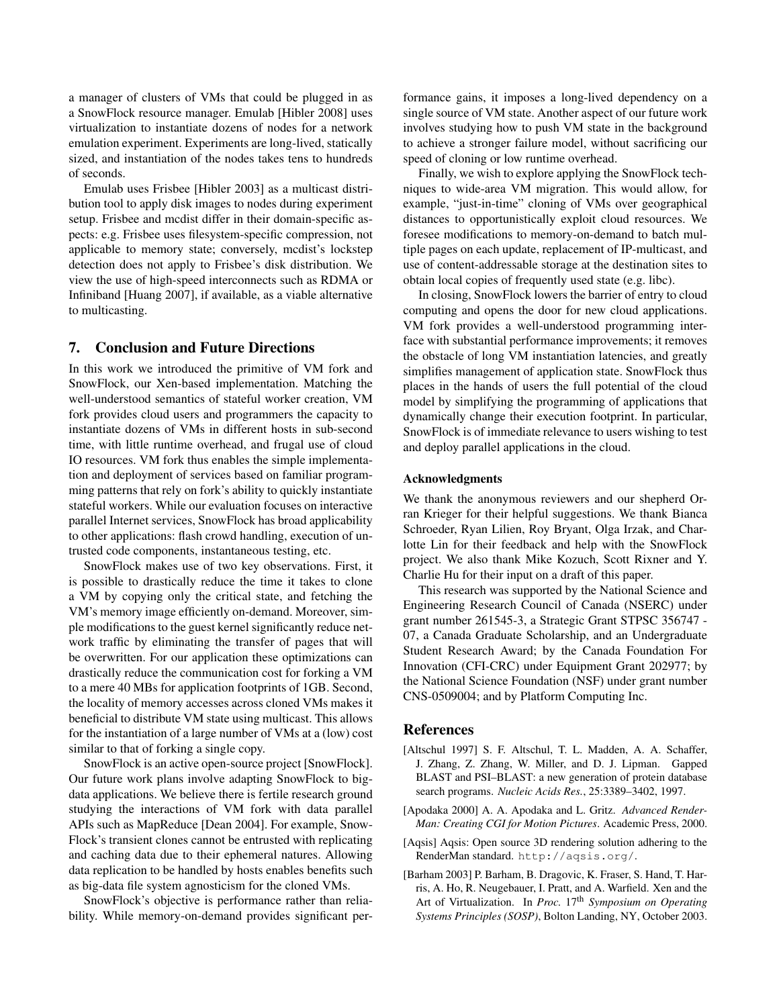a manager of clusters of VMs that could be plugged in as a SnowFlock resource manager. Emulab [\[Hibler 2008\]](#page-11-31) uses virtualization to instantiate dozens of nodes for a network emulation experiment. Experiments are long-lived, statically sized, and instantiation of the nodes takes tens to hundreds of seconds.

Emulab uses Frisbee [\[Hibler 2003\]](#page-11-32) as a multicast distribution tool to apply disk images to nodes during experiment setup. Frisbee and mcdist differ in their domain-specific aspects: e.g. Frisbee uses filesystem-specific compression, not applicable to memory state; conversely, mcdist's lockstep detection does not apply to Frisbee's disk distribution. We view the use of high-speed interconnects such as RDMA or Infiniband [\[Huang 2007\]](#page-11-33), if available, as a viable alternative to multicasting.

### 7. Conclusion and Future Directions

In this work we introduced the primitive of VM fork and SnowFlock, our Xen-based implementation. Matching the well-understood semantics of stateful worker creation, VM fork provides cloud users and programmers the capacity to instantiate dozens of VMs in different hosts in sub-second time, with little runtime overhead, and frugal use of cloud IO resources. VM fork thus enables the simple implementation and deployment of services based on familiar programming patterns that rely on fork's ability to quickly instantiate stateful workers. While our evaluation focuses on interactive parallel Internet services, SnowFlock has broad applicability to other applications: flash crowd handling, execution of untrusted code components, instantaneous testing, etc.

SnowFlock makes use of two key observations. First, it is possible to drastically reduce the time it takes to clone a VM by copying only the critical state, and fetching the VM's memory image efficiently on-demand. Moreover, simple modifications to the guest kernel significantly reduce network traffic by eliminating the transfer of pages that will be overwritten. For our application these optimizations can drastically reduce the communication cost for forking a VM to a mere 40 MBs for application footprints of 1GB. Second, the locality of memory accesses across cloned VMs makes it beneficial to distribute VM state using multicast. This allows for the instantiation of a large number of VMs at a (low) cost similar to that of forking a single copy.

SnowFlock is an active open-source project [\[SnowFlock\]](#page-11-9). Our future work plans involve adapting SnowFlock to bigdata applications. We believe there is fertile research ground studying the interactions of VM fork with data parallel APIs such as MapReduce [\[Dean 2004\]](#page-11-13). For example, Snow-Flock's transient clones cannot be entrusted with replicating and caching data due to their ephemeral natures. Allowing data replication to be handled by hosts enables benefits such as big-data file system agnosticism for the cloned VMs.

SnowFlock's objective is performance rather than reliability. While memory-on-demand provides significant performance gains, it imposes a long-lived dependency on a single source of VM state. Another aspect of our future work involves studying how to push VM state in the background to achieve a stronger failure model, without sacrificing our speed of cloning or low runtime overhead.

Finally, we wish to explore applying the SnowFlock techniques to wide-area VM migration. This would allow, for example, "just-in-time" cloning of VMs over geographical distances to opportunistically exploit cloud resources. We foresee modifications to memory-on-demand to batch multiple pages on each update, replacement of IP-multicast, and use of content-addressable storage at the destination sites to obtain local copies of frequently used state (e.g. libc).

In closing, SnowFlock lowers the barrier of entry to cloud computing and opens the door for new cloud applications. VM fork provides a well-understood programming interface with substantial performance improvements; it removes the obstacle of long VM instantiation latencies, and greatly simplifies management of application state. SnowFlock thus places in the hands of users the full potential of the cloud model by simplifying the programming of applications that dynamically change their execution footprint. In particular, SnowFlock is of immediate relevance to users wishing to test and deploy parallel applications in the cloud.

#### Acknowledgments

We thank the anonymous reviewers and our shepherd Orran Krieger for their helpful suggestions. We thank Bianca Schroeder, Ryan Lilien, Roy Bryant, Olga Irzak, and Charlotte Lin for their feedback and help with the SnowFlock project. We also thank Mike Kozuch, Scott Rixner and Y. Charlie Hu for their input on a draft of this paper.

This research was supported by the National Science and Engineering Research Council of Canada (NSERC) under grant number 261545-3, a Strategic Grant STPSC 356747 - 07, a Canada Graduate Scholarship, and an Undergraduate Student Research Award; by the Canada Foundation For Innovation (CFI-CRC) under Equipment Grant 202977; by the National Science Foundation (NSF) under grant number CNS-0509004; and by Platform Computing Inc.

### References

- <span id="page-10-1"></span>[Altschul 1997] S. F. Altschul, T. L. Madden, A. A. Schaffer, J. Zhang, Z. Zhang, W. Miller, and D. J. Lipman. Gapped BLAST and PSI–BLAST: a new generation of protein database search programs. *Nucleic Acids Res.*, 25:3389–3402, 1997.
- <span id="page-10-3"></span>[Apodaka 2000] A. A. Apodaka and L. Gritz. *Advanced Render-Man: Creating CGI for Motion Pictures*. Academic Press, 2000.
- <span id="page-10-2"></span>[Aqsis] Aqsis: Open source 3D rendering solution adhering to the RenderMan standard. <http://aqsis.org/>.
- <span id="page-10-0"></span>[Barham 2003] P. Barham, B. Dragovic, K. Fraser, S. Hand, T. Harris, A. Ho, R. Neugebauer, I. Pratt, and A. Warfield. Xen and the Art of Virtualization. In *Proc.* 17th *Symposium on Operating Systems Principles (SOSP)*, Bolton Landing, NY, October 2003.